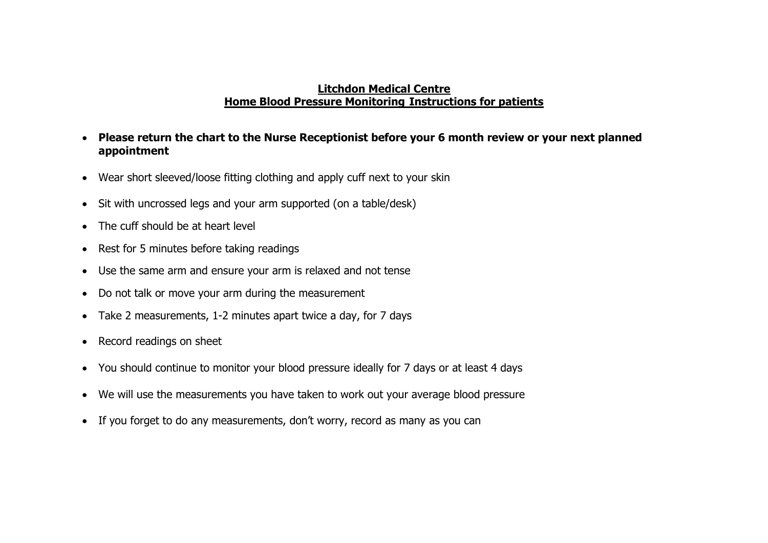## **Litchdon Medical Centre Home Blood Pressure Monitoring Instructions for patients**

- **Please return the chart to the Nurse Receptionist before your 6 month review or your next planned appointment**
- Wear short sleeved/loose fitting clothing and apply cuff next to your skin
- Sit with uncrossed legs and your arm supported (on a table/desk)
- The cuff should be at heart level
- Rest for 5 minutes before taking readings
- Use the same arm and ensure your arm is relaxed and not tense
- Do not talk or move your arm during the measurement
- Take 2 measurements, 1-2 minutes apart twice a day, for 7 days
- Record readings on sheet
- You should continue to monitor your blood pressure ideally for 7 days or at least 4 days
- We will use the measurements you have taken to work out your average blood pressure
- If you forget to do any measurements, don't worry, record as many as you can